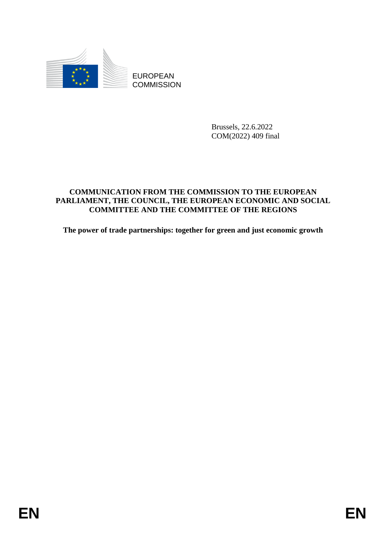

**COMMISSION** 

Brussels, 22.6.2022 COM(2022) 409 final

# EUROPEAN<br>
ECOMMISSION<br>
ERISCH, 22.6.2022<br>
COMMISSION<br> **ENERAL PROPEAN EXAMPLE CONDUCTIVE CONDUCTS**<br>
PARTAMPRY, THE CONNELL FOR THE RECONSITY CONDUCTS OF THE RECONSIST<br>
The power of trade partnerships: together for green an **COMMUNICATION FROM THE COMMISSION TO THE EUROPEAN PARLIAMENT, THE COUNCIL, THE EUROPEAN ECONOMIC AND SOCIAL COMMITTEE AND THE COMMITTEE OF THE REGIONS**

**The power of trade partnerships: together for green and just economic growth**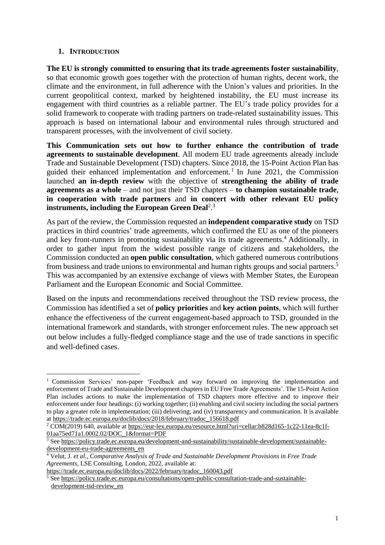## **1. INTRODUCTION**

 $\overline{a}$ 

**The EU is strongly committed to ensuring that its trade agreements foster sustainability**, so that economic growth goes together with the protection of human rights, decent work, the climate and the environment, in full adherence with the Union's values and priorities. In the current geopolitical context, marked by heightened instability, the EU must increase its engagement with third countries as a reliable partner. The EU's trade policy provides for a solid framework to cooperate with trading partners on trade-related sustainability issues. This approach is based on international labour and environmental rules through structured and transparent processes, with the involvement of civil society.

**This Communication sets out how to further enhance the contribution of trade agreements to sustainable development**. All modern EU trade agreements already include Trade and Sustainable Development (TSD) chapters. Since 2018, the 15-Point Action Plan has guided their enhanced implementation and enforcement.<sup>1</sup> In June 2021, the Commission launched **an in-depth review** with the objective of **strengthening the ability of trade agreements as a whole** – and not just their TSD chapters – **to champion sustainable trade**, **in cooperation with trade partners** and **in concert with other relevant EU policy instruments, including the European Green Deal**<sup>2</sup> . 3

As part of the review, the Commission requested an **independent comparative study** on TSD practices in third countries' trade agreements, which confirmed the EU as one of the pioneers and key front-runners in promoting sustainability via its trade agreements. <sup>4</sup> Additionally, in order to gather input from the widest possible range of citizens and stakeholders, the Commission conducted an **open public consultation**, which gathered numerous contributions from business and trade unions to environmental and human rights groups and social partners.<sup>5</sup> This was accompanied by an extensive exchange of views with Member States, the European Parliament and the European Economic and Social Committee.

Based on the inputs and recommendations received throughout the TSD review process, the Commission has identified a set of **policy priorities** and **key action points**, which will further enhance the effectiveness of the current engagement-based approach to TSD, grounded in the international framework and standards, with stronger enforcement rules. The new approach set out below includes a fully-fledged compliance stage and the use of trade sanctions in specific and well-defined cases.

<sup>&</sup>lt;sup>1</sup> Commission Services' non-paper 'Feedback and way forward on improving the implementation and enforcement of Trade and Sustainable Development chapters in EU Free Trade Agreements'. The 15-Point Action Plan includes actions to make the implementation of TSD chapters more effective and to improve their enforcement under four headings: (i) working together; (ii) enabling and civil society including the social partners to play a greater role in implementation; (iii) delivering; and (iv) transparency and communication. It is available at [https://trade.ec.europa.eu/doclib/docs/2018/february/tradoc\\_156618.pdf](https://trade.ec.europa.eu/doclib/docs/2018/february/tradoc_156618.pdf)

<sup>&</sup>lt;sup>2</sup> COM(2019) 640, available at [https://eur-lex.europa.eu/resource.html?uri=cellar:b828d165-1c22-11ea-8c1f-](https://eur-lex.europa.eu/resource.html?uri=cellar:b828d165-1c22-11ea-8c1f-01aa75ed71a1.0002.02/DOC_1&format=PDF)[01aa75ed71a1.0002.02/DOC\\_1&format=PDF](https://eur-lex.europa.eu/resource.html?uri=cellar:b828d165-1c22-11ea-8c1f-01aa75ed71a1.0002.02/DOC_1&format=PDF)

<sup>&</sup>lt;sup>3</sup> See [https://policy.trade.ec.europa.eu/development-and-sustainability/sustainable-development/sustainable](https://policy.trade.ec.europa.eu/development-and-sustainability/sustainable-development/sustainable-development-eu-trade-agreements_en)[development-eu-trade-agreements\\_en](https://policy.trade.ec.europa.eu/development-and-sustainability/sustainable-development/sustainable-development-eu-trade-agreements_en)

<sup>4</sup> Velut, J. *et al., Comparative Analysis of Trade and Sustainable Development Provisions in Free Trade Agreements*, LSE Consulting, London, 2022, available at:

[https://trade.ec.europa.eu/doclib/docs/2022/february/tradoc\\_160043.pdf](https://trade.ec.europa.eu/doclib/docs/2022/february/tradoc_160043.pdf)

<sup>5</sup> See [https://policy.trade.ec.europa.eu/consultations/open-public-consultation-trade-and-sustainable](https://policy.trade.ec.europa.eu/consultations/open-public-consultation-trade-and-sustainable-development-tsd-review_en)[development-tsd-review\\_en](https://policy.trade.ec.europa.eu/consultations/open-public-consultation-trade-and-sustainable-development-tsd-review_en)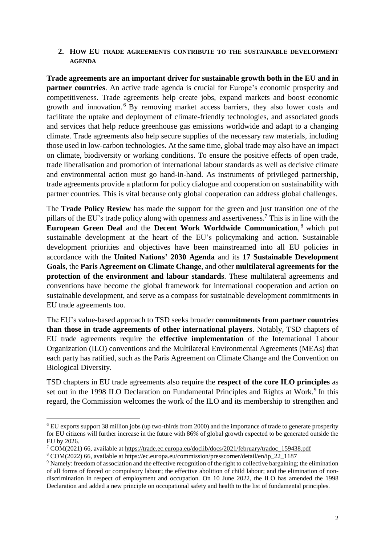## **2. HOW EU TRADE AGREEMENTS CONTRIBUTE TO THE SUSTAINABLE DEVELOPMENT AGENDA**

**Trade agreements are an important driver for sustainable growth both in the EU and in partner countries**. An active trade agenda is crucial for Europe's economic prosperity and competitiveness. Trade agreements help create jobs, expand markets and boost economic growth and innovation. <sup>6</sup> By removing market access barriers, they also lower costs and facilitate the uptake and deployment of climate-friendly technologies, and associated goods and services that help reduce greenhouse gas emissions worldwide and adapt to a changing climate. Trade agreements also help secure supplies of the necessary raw materials, including those used in low-carbon technologies. At the same time, global trade may also have an impact on climate, biodiversity or working conditions. To ensure the positive effects of open trade, trade liberalisation and promotion of international labour standards as well as decisive climate and environmental action must go hand-in-hand. As instruments of privileged partnership, trade agreements provide a platform for policy dialogue and cooperation on sustainability with partner countries. This is vital because only global cooperation can address global challenges.

The **Trade Policy Review** has made the support for the green and just transition one of the pillars of the EU's trade policy along with openness and assertiveness.<sup>7</sup> This is in line with the **European Green Deal** and the **Decent Work Worldwide Communication**, <sup>8</sup> which put sustainable development at the heart of the EU's policymaking and action. Sustainable development priorities and objectives have been mainstreamed into all EU policies in accordance with the **United Nations' 2030 Agenda** and its **17 Sustainable Development Goals**, the **Paris Agreement on Climate Change**, and other **multilateral agreements for the protection of the environment and labour standards**. These multilateral agreements and conventions have become the global framework for international cooperation and action on sustainable development, and serve as a compass for sustainable development commitments in EU trade agreements too.

The EU's value-based approach to TSD seeks broader **commitments from partner countries than those in trade agreements of other international players**. Notably, TSD chapters of EU trade agreements require the **effective implementation** of the International Labour Organization (ILO) conventions and the Multilateral Environmental Agreements (MEAs) that each party has ratified, such as the Paris Agreement on Climate Change and the Convention on Biological Diversity.

TSD chapters in EU trade agreements also require the **respect of the core ILO principles** as set out in the 1998 ILO Declaration on Fundamental Principles and Rights at Work.<sup>9</sup> In this regard, the Commission welcomes the work of the ILO and its membership to strengthen and

<sup>6</sup> EU exports support 38 million jobs (up two-thirds from 2000) and the importance of trade to generate prosperity for EU citizens will further increase in the future with 86% of global growth expected to be generated outside the EU by 2026.

<sup>7</sup> COM(2021) 66, available at [https://trade.ec.europa.eu/doclib/docs/2021/february/tradoc\\_159438.pdf](https://trade.ec.europa.eu/doclib/docs/2021/february/tradoc_159438.pdf)

<sup>8</sup> COM(2022) 66, available at [https://ec.europa.eu/commission/presscorner/detail/en/ip\\_22\\_1187](https://ec.europa.eu/commission/presscorner/detail/en/ip_22_1187)

<sup>&</sup>lt;sup>9</sup> Namely: freedom of association and the effective recognition of the right to collective bargaining; the elimination of all forms of forced or compulsory labour; the effective abolition of child labour; and the elimination of nondiscrimination in respect of employment and occupation. On 10 June 2022, the ILO has amended the 1998 Declaration and added a new principle on occupational safety and health to the list of fundamental principles.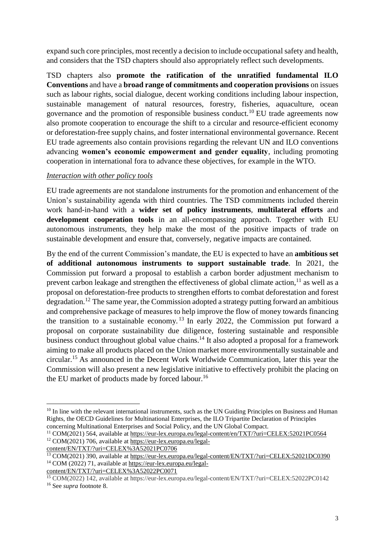expand such core principles, most recently a decision to include occupational safety and health, and considers that the TSD chapters should also appropriately reflect such developments.

TSD chapters also **promote the ratification of the unratified fundamental ILO Conventions** and have a **broad range of commitments and cooperation provisions** on issues such as labour rights, social dialogue, decent working conditions including labour inspection, sustainable management of natural resources, forestry, fisheries, aquaculture, ocean governance and the promotion of responsible business conduct.<sup>10</sup> EU trade agreements now also promote cooperation to encourage the shift to a circular and resource-efficient economy or deforestation-free supply chains, and foster international environmental governance. Recent EU trade agreements also contain provisions regarding the relevant UN and ILO conventions advancing **women's economic empowerment and gender equality**, including promoting cooperation in international fora to advance these objectives, for example in the WTO.

## *Interaction with other policy tools*

EU trade agreements are not standalone instruments for the promotion and enhancement of the Union's sustainability agenda with third countries. The TSD commitments included therein work hand-in-hand with a **wider set of policy instruments**, **multilateral efforts** and **development cooperation tools** in an all-encompassing approach. Together with EU autonomous instruments, they help make the most of the positive impacts of trade on sustainable development and ensure that, conversely, negative impacts are contained.

By the end of the current Commission's mandate, the EU is expected to have an **ambitious set of additional autonomous instruments to support sustainable trade**. In 2021, the Commission put forward a proposal to establish a carbon border adjustment mechanism to prevent carbon leakage and strengthen the effectiveness of global climate action, $^{11}$  as well as a proposal on deforestation-free products to strengthen efforts to combat deforestation and forest degradation.<sup>12</sup> The same year, the Commission adopted a strategy putting forward an ambitious and comprehensive package of measures to help improve the flow of money towards financing the transition to a sustainable economy.<sup>13</sup> In early 2022, the Commission put forward a proposal on corporate sustainability due diligence, fostering sustainable and responsible business conduct throughout global value chains.<sup>14</sup> It also adopted a proposal for a framework aiming to make all products placed on the Union market more environmentally sustainable and circular. <sup>15</sup> As announced in the Decent Work Worldwide Communication, later this year the Commission will also present a new legislative initiative to effectively prohibit the placing on the EU market of products made by forced labour.<sup>16</sup>

[content/EN/TXT/?uri=CELEX%3A52021PC0706](https://eur-lex.europa.eu/legal-content/EN/TXT/?uri=CELEX%3A52021PC0706)

<sup>14</sup> COM (2022) 71, available at [https://eur-lex.europa.eu/legal](https://eur-lex.europa.eu/legal-content/EN/TXT/?uri=CELEX%3A52022PC0071)[content/EN/TXT/?uri=CELEX%3A52022PC0071](https://eur-lex.europa.eu/legal-content/EN/TXT/?uri=CELEX%3A52022PC0071)

<sup>&</sup>lt;sup>10</sup> In line with the relevant international instruments, such as the UN Guiding Principles on Business and Human Rights, the OECD Guidelines for Multinational Enterprises, the ILO Tripartite Declaration of Principles concerning Multinational Enterprises and Social Policy, and the UN Global Compact.

<sup>&</sup>lt;sup>11</sup> COM(2021) 564, available at https://eur-lex.europa.eu/legal-content/en/TXT/?uri=CELEX:52021PC0564 <sup>12</sup> COM(2021) 706, available at [https://eur-lex.europa.eu/legal-](https://eur-lex.europa.eu/legal-content/EN/TXT/?uri=CELEX%3A52021PC0706)

<sup>&</sup>lt;sup>13</sup> COM(2021) 390, available at <https://eur-lex.europa.eu/legal-content/EN/TXT/?uri=CELEX:52021DC0390>

<sup>15</sup> COM(2022) 142, available at https://eur-lex.europa.eu/legal-content/EN/TXT/?uri=CELEX:52022PC0142

<sup>16</sup> See *supra* footnote 8.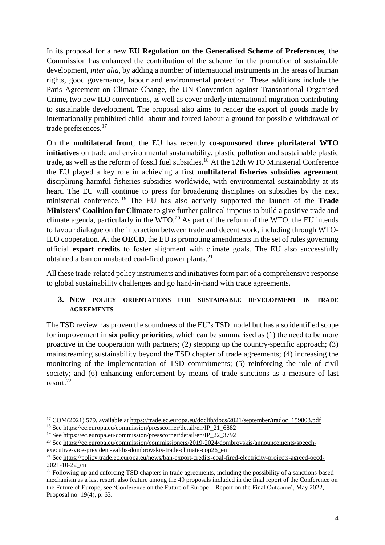In its proposal for a new **EU Regulation on the Generalised Scheme of Preferences**, the Commission has enhanced the contribution of the scheme for the promotion of sustainable development, *inter alia*, by adding a number of international instruments in the areas of human rights, good governance, labour and environmental protection. These additions include the Paris Agreement on Climate Change, the UN Convention against Transnational Organised Crime, two new ILO conventions, as well as cover orderly international migration contributing to sustainable development. The proposal also aims to render the export of goods made by internationally prohibited child labour and forced labour a ground for possible withdrawal of trade preferences.<sup>17</sup>

On the **multilateral front**, the EU has recently **co-sponsored three plurilateral WTO initiatives** on trade and environmental sustainability, plastic pollution and sustainable plastic trade, as well as the reform of fossil fuel subsidies. <sup>18</sup> At the 12th WTO Ministerial Conference the EU played a key role in achieving a first **multilateral fisheries subsidies agreement** disciplining harmful fisheries subsidies worldwide, with environmental sustainability at its heart. The EU will continue to press for broadening disciplines on subsidies by the next ministerial conference. <sup>19</sup> The EU has also actively supported the launch of the **Trade Ministers' Coalition for Climate** to give further political impetus to build a positive trade and climate agenda, particularly in the WTO.<sup>20</sup> As part of the reform of the WTO, the EU intends to favour dialogue on the interaction between trade and decent work, including through WTO-ILO cooperation. At the **OECD**, the EU is promoting amendments in the set of rules governing official **export credits** to foster alignment with climate goals. The EU also successfully obtained a ban on unabated coal-fired power plants.<sup>21</sup>

All these trade-related policy instruments and initiatives form part of a comprehensive response to global sustainability challenges and go hand-in-hand with trade agreements.

# **3. NEW POLICY ORIENTATIONS FOR SUSTAINABLE DEVELOPMENT IN TRADE AGREEMENTS**

The TSD review has proven the soundness of the EU's TSD model but has also identified scope for improvement in **six policy priorities**, which can be summarised as (1) the need to be more proactive in the cooperation with partners; (2) stepping up the country-specific approach; (3) mainstreaming sustainability beyond the TSD chapter of trade agreements; (4) increasing the monitoring of the implementation of TSD commitments; (5) reinforcing the role of civil society; and (6) enhancing enforcement by means of trade sanctions as a measure of last resort.<sup>22</sup>

<sup>&</sup>lt;sup>17</sup> COM(2021) 579, available at [https://trade.ec.europa.eu/doclib/docs/2021/september/tradoc\\_159803.pdf](https://trade.ec.europa.eu/doclib/docs/2021/september/tradoc_159803.pdf)

<sup>&</sup>lt;sup>18</sup> See [https://ec.europa.eu/commission/presscorner/detail/en/IP\\_21\\_6882](https://ec.europa.eu/commission/presscorner/detail/en/IP_21_6882)

<sup>19</sup> See https://ec.europa.eu/commission/presscorner/detail/en/IP\_22\_3792

<sup>&</sup>lt;sup>20</sup> See [https://ec.europa.eu/commission/commissioners/2019-2024/dombrovskis/announcements/speech](https://ec.europa.eu/commission/commissioners/2019-2024/dombrovskis/announcements/speech-executive-vice-president-valdis-dombrovskis-trade-climate-cop26_en)[executive-vice-president-valdis-dombrovskis-trade-climate-cop26\\_en](https://ec.europa.eu/commission/commissioners/2019-2024/dombrovskis/announcements/speech-executive-vice-president-valdis-dombrovskis-trade-climate-cop26_en)

<sup>&</sup>lt;sup>21</sup> See [https://policy.trade.ec.europa.eu/news/ban-export-credits-coal-fired-electricity-projects-agreed-oecd-](https://policy.trade.ec.europa.eu/news/ban-export-credits-coal-fired-electricity-projects-agreed-oecd-2021-10-22_en)[2021-10-22\\_en](https://policy.trade.ec.europa.eu/news/ban-export-credits-coal-fired-electricity-projects-agreed-oecd-2021-10-22_en)

 $\frac{22}{22}$  Following up and enforcing TSD chapters in trade agreements, including the possibility of a sanctions-based mechanism as a last resort, also feature among the 49 proposals included in the final report of the Conference on the Future of Europe, see 'Conference on the Future of Europe – Report on the Final Outcome', May 2022, Proposal no. 19(4), p. 63.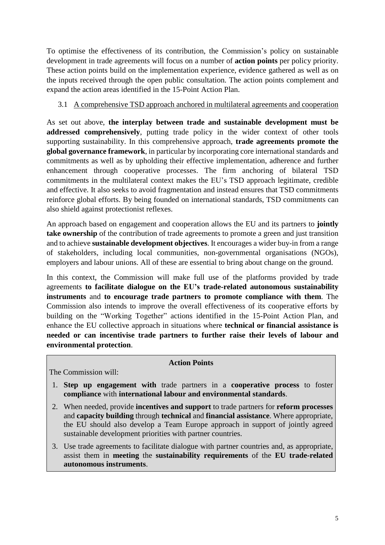To optimise the effectiveness of its contribution, the Commission's policy on sustainable development in trade agreements will focus on a number of **action points** per policy priority. These action points build on the implementation experience, evidence gathered as well as on the inputs received through the open public consultation. The action points complement and expand the action areas identified in the 15-Point Action Plan.

# 3.1 A comprehensive TSD approach anchored in multilateral agreements and cooperation

As set out above, **the interplay between trade and sustainable development must be addressed comprehensively**, putting trade policy in the wider context of other tools supporting sustainability. In this comprehensive approach, **trade agreements promote the global governance framework**, in particular by incorporating core international standards and commitments as well as by upholding their effective implementation, adherence and further enhancement through cooperative processes. The firm anchoring of bilateral TSD commitments in the multilateral context makes the EU's TSD approach legitimate, credible and effective. It also seeks to avoid fragmentation and instead ensures that TSD commitments reinforce global efforts. By being founded on international standards, TSD commitments can also shield against protectionist reflexes.

An approach based on engagement and cooperation allows the EU and its partners to **jointly take ownership** of the contribution of trade agreements to promote a green and just transition and to achieve **sustainable development objectives**. It encourages a wider buy-in from a range of stakeholders, including local communities, non-governmental organisations (NGOs), employers and labour unions. All of these are essential to bring about change on the ground.

In this context, the Commission will make full use of the platforms provided by trade agreements **to facilitate dialogue on the EU's trade-related autonomous sustainability instruments** and **to encourage trade partners to promote compliance with them**. The Commission also intends to improve the overall effectiveness of its cooperative efforts by building on the "Working Together" actions identified in the 15-Point Action Plan, and enhance the EU collective approach in situations where **technical or financial assistance is needed or can incentivise trade partners to further raise their levels of labour and environmental protection**.

### **Action Points**

The Commission will:

- 1. **Step up engagement with** trade partners in a **cooperative process** to foster **compliance** with **international labour and environmental standards**.
- 2. When needed, provide **incentives and support** to trade partners for **reform processes** and **capacity building** through **technical** and **financial assistance**. Where appropriate, the EU should also develop a Team Europe approach in support of jointly agreed sustainable development priorities with partner countries.
- 3. Use trade agreements to facilitate dialogue with partner countries and, as appropriate, assist them in **meeting** the **sustainability requirements** of the **EU trade-related autonomous instruments**.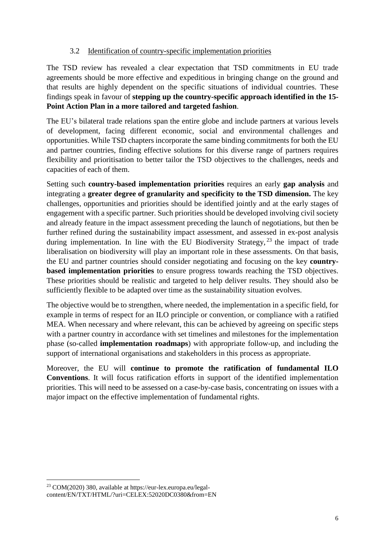## 3.2 Identification of country-specific implementation priorities

The TSD review has revealed a clear expectation that TSD commitments in EU trade agreements should be more effective and expeditious in bringing change on the ground and that results are highly dependent on the specific situations of individual countries. These findings speak in favour of **stepping up the country-specific approach identified in the 15- Point Action Plan in a more tailored and targeted fashion**.

The EU's bilateral trade relations span the entire globe and include partners at various levels of development, facing different economic, social and environmental challenges and opportunities. While TSD chapters incorporate the same binding commitments for both the EU and partner countries, finding effective solutions for this diverse range of partners requires flexibility and prioritisation to better tailor the TSD objectives to the challenges, needs and capacities of each of them.

Setting such **country-based implementation priorities** requires an early **gap analysis** and integrating a **greater degree of granularity and specificity to the TSD dimension.** The key challenges, opportunities and priorities should be identified jointly and at the early stages of engagement with a specific partner. Such priorities should be developed involving civil society and already feature in the impact assessment preceding the launch of negotiations, but then be further refined during the sustainability impact assessment, and assessed in ex-post analysis during implementation. In line with the EU Biodiversity Strategy,  $^{23}$  the impact of trade liberalisation on biodiversity will play an important role in these assessments. On that basis, the EU and partner countries should consider negotiating and focusing on the key **countrybased implementation priorities** to ensure progress towards reaching the TSD objectives. These priorities should be realistic and targeted to help deliver results. They should also be sufficiently flexible to be adapted over time as the sustainability situation evolves.

The objective would be to strengthen, where needed, the implementation in a specific field, for example in terms of respect for an ILO principle or convention, or compliance with a ratified MEA. When necessary and where relevant, this can be achieved by agreeing on specific steps with a partner country in accordance with set timelines and milestones for the implementation phase (so-called **implementation roadmaps**) with appropriate follow-up, and including the support of international organisations and stakeholders in this process as appropriate.

Moreover, the EU will **continue to promote the ratification of fundamental ILO Conventions**. It will focus ratification efforts in support of the identified implementation priorities. This will need to be assessed on a case-by-case basis, concentrating on issues with a major impact on the effective implementation of fundamental rights.

 $\overline{a}$ <sup>23</sup> COM(2020) 380, available at https://eur-lex.europa.eu/legalcontent/EN/TXT/HTML/?uri=CELEX:52020DC0380&from=EN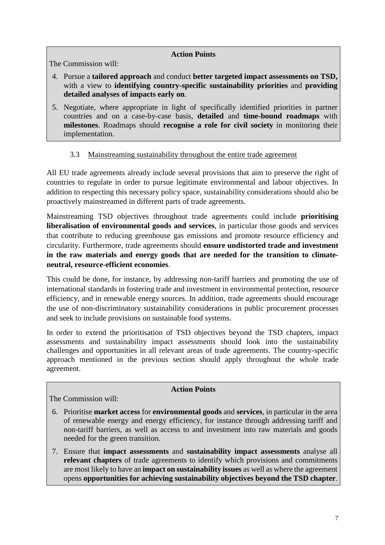# **Action Points**

The Commission will:

- 4. Pursue a **tailored approach** and conduct **better targeted impact assessments on TSD,** with a view to **identifying country-specific sustainability priorities** and **providing detailed analyses of impacts early on**.
- 5. Negotiate, where appropriate in light of specifically identified priorities in partner countries and on a case-by-case basis, **detailed** and **time-bound roadmaps** with **milestones**. Roadmaps should **recognise a role for civil society** in monitoring their implementation.

# 3.3 Mainstreaming sustainability throughout the entire trade agreement

All EU trade agreements already include several provisions that aim to preserve the right of countries to regulate in order to pursue legitimate environmental and labour objectives. In addition to respecting this necessary policy space, sustainability considerations should also be proactively mainstreamed in different parts of trade agreements.

Mainstreaming TSD objectives throughout trade agreements could include **prioritising liberalisation of environmental goods and services**, in particular those goods and services that contribute to reducing greenhouse gas emissions and promote resource efficiency and circularity. Furthermore, trade agreements should **ensure undistorted trade and investment in the raw materials and energy goods that are needed for the transition to climateneutral, resource-efficient economies**.

This could be done, for instance, by addressing non-tariff barriers and promoting the use of international standards in fostering trade and investment in environmental protection, resource efficiency, and in renewable energy sources. In addition, trade agreements should encourage the use of non-discriminatory sustainability considerations in public procurement processes and seek to include provisions on sustainable food systems.

In order to extend the prioritisation of TSD objectives beyond the TSD chapters, impact assessments and sustainability impact assessments should look into the sustainability challenges and opportunities in all relevant areas of trade agreements. The country-specific approach mentioned in the previous section should apply throughout the whole trade agreement.

# **Action Points**

The Commission will:

- 6. Prioritise **market access** for **environmental goods** and **services**, in particular in the area of renewable energy and energy efficiency, for instance through addressing tariff and non-tariff barriers, as well as access to and investment into raw materials and goods needed for the green transition.
- 7. Ensure that **impact assessments** and **sustainability impact assessments** analyse all **relevant chapters** of trade agreements to identify which provisions and commitments are most likely to have an **impact on sustainability issues** as well as where the agreement opens **opportunities for achieving sustainability objectives beyond the TSD chapter**.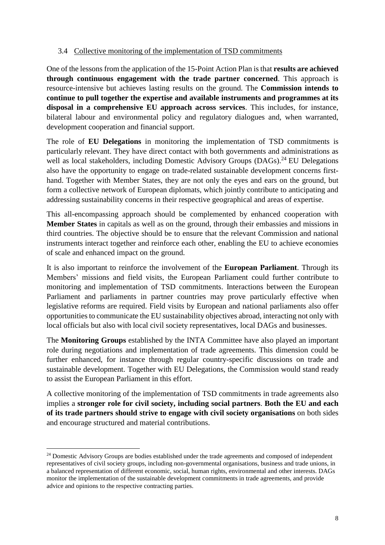## 3.4 Collective monitoring of the implementation of TSD commitments

One of the lessons from the application of the 15-Point Action Plan is that **results are achieved through continuous engagement with the trade partner concerned**. This approach is resource-intensive but achieves lasting results on the ground. The **Commission intends to continue to pull together the expertise and available instruments and programmes at its disposal in a comprehensive EU approach across services**. This includes, for instance, bilateral labour and environmental policy and regulatory dialogues and, when warranted, development cooperation and financial support.

The role of **EU Delegations** in monitoring the implementation of TSD commitments is particularly relevant. They have direct contact with both governments and administrations as well as local stakeholders, including Domestic Advisory Groups (DAGs).<sup>24</sup> EU Delegations also have the opportunity to engage on trade-related sustainable development concerns firsthand. Together with Member States, they are not only the eyes and ears on the ground, but form a collective network of European diplomats, which jointly contribute to anticipating and addressing sustainability concerns in their respective geographical and areas of expertise.

This all-encompassing approach should be complemented by enhanced cooperation with **Member States** in capitals as well as on the ground, through their embassies and missions in third countries. The objective should be to ensure that the relevant Commission and national instruments interact together and reinforce each other, enabling the EU to achieve economies of scale and enhanced impact on the ground.

It is also important to reinforce the involvement of the **European Parliament**. Through its Members' missions and field visits, the European Parliament could further contribute to monitoring and implementation of TSD commitments. Interactions between the European Parliament and parliaments in partner countries may prove particularly effective when legislative reforms are required. Field visits by European and national parliaments also offer opportunitiesto communicate the EU sustainability objectives abroad, interacting not only with local officials but also with local civil society representatives, local DAGs and businesses.

The **Monitoring Groups** established by the INTA Committee have also played an important role during negotiations and implementation of trade agreements. This dimension could be further enhanced, for instance through regular country-specific discussions on trade and sustainable development. Together with EU Delegations, the Commission would stand ready to assist the European Parliament in this effort.

A collective monitoring of the implementation of TSD commitments in trade agreements also implies a **stronger role for civil society, including social partners**. **Both the EU and each of its trade partners should strive to engage with civil society organisations** on both sides and encourage structured and material contributions.

<sup>&</sup>lt;sup>24</sup> Domestic Advisory Groups are bodies established under the trade agreements and composed of independent representatives of civil society groups, including non-governmental organisations, business and trade unions, in a balanced representation of different economic, social, human rights, environmental and other interests. DAGs monitor the implementation of the sustainable development commitments in trade agreements, and provide advice and opinions to the respective contracting parties.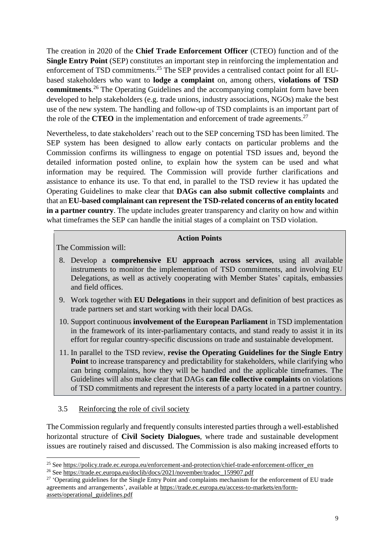The creation in 2020 of the **Chief Trade Enforcement Officer** (CTEO) function and of the **Single Entry Point** (SEP) constitutes an important step in reinforcing the implementation and enforcement of TSD commitments.<sup>25</sup> The SEP provides a centralised contact point for all EUbased stakeholders who want to **lodge a complaint** on, among others, **violations of TSD commitments**. <sup>26</sup> The Operating Guidelines and the accompanying complaint form have been developed to help stakeholders (e.g. trade unions, industry associations, NGOs) make the best use of the new system. The handling and follow-up of TSD complaints is an important part of the role of the **CTEO** in the implementation and enforcement of trade agreements.<sup>27</sup>

Nevertheless, to date stakeholders' reach out to the SEP concerning TSD has been limited. The SEP system has been designed to allow early contacts on particular problems and the Commission confirms its willingness to engage on potential TSD issues and, beyond the detailed information posted online, to explain how the system can be used and what information may be required. The Commission will provide further clarifications and assistance to enhance its use. To that end, in parallel to the TSD review it has updated the Operating Guidelines to make clear that **DAGs can also submit collective complaints** and that an **EU-based complainant can represent the TSD-related concerns of an entity located in a partner country**. The update includes greater transparency and clarity on how and within what timeframes the SEP can handle the initial stages of a complaint on TSD violation.

## **Action Points**

The Commission will:

 $\overline{a}$ 

- 8. Develop a **comprehensive EU approach across services**, using all available instruments to monitor the implementation of TSD commitments, and involving EU Delegations, as well as actively cooperating with Member States' capitals, embassies and field offices.
- 9. Work together with **EU Delegations** in their support and definition of best practices as trade partners set and start working with their local DAGs.
- 10. Support continuous **involvement of the European Parliament** in TSD implementation in the framework of its inter-parliamentary contacts, and stand ready to assist it in its effort for regular country-specific discussions on trade and sustainable development.
- 11. In parallel to the TSD review, **revise the Operating Guidelines for the Single Entry Point** to increase transparency and predictability for stakeholders, while clarifying who can bring complaints, how they will be handled and the applicable timeframes. The Guidelines will also make clear that DAGs **can file collective complaints** on violations of TSD commitments and represent the interests of a party located in a partner country.

### 3.5 Reinforcing the role of civil society

The Commission regularly and frequently consultsinterested parties through a well-established horizontal structure of **Civil Society Dialogues**, where trade and sustainable development issues are routinely raised and discussed. The Commission is also making increased efforts to

<sup>&</sup>lt;sup>25</sup> See [https://policy.trade.ec.europa.eu/enforcement-and-protection/chief-trade-enforcement-officer\\_en](https://policy.trade.ec.europa.eu/enforcement-and-protection/chief-trade-enforcement-officer_en)

<sup>&</sup>lt;sup>26</sup> See [https://trade.ec.europa.eu/doclib/docs/2021/november/tradoc\\_159907.pdf](https://trade.ec.europa.eu/doclib/docs/2021/november/tradoc_159907.pdf)

<sup>&</sup>lt;sup>27</sup> 'Operating guidelines for the Single Entry Point and complaints mechanism for the enforcement of EU trade agreements and arrangements', available at [https://trade.ec.europa.eu/access-to-markets/en/form](https://trade.ec.europa.eu/access-to-markets/en/form-assets/operational_guidelines.pdf)[assets/operational\\_guidelines.pdf](https://trade.ec.europa.eu/access-to-markets/en/form-assets/operational_guidelines.pdf)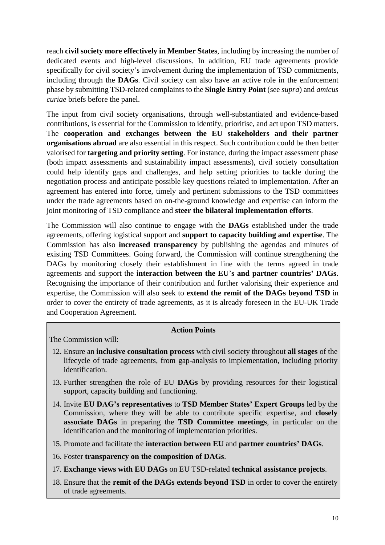reach **civil society more effectively in Member States**, including by increasing the number of dedicated events and high-level discussions. In addition, EU trade agreements provide specifically for civil society's involvement during the implementation of TSD commitments, including through the **DAGs**. Civil society can also have an active role in the enforcement phase by submitting TSD-related complaints to the **Single Entry Point** (see *supra*) and *amicus curiae* briefs before the panel.

The input from civil society organisations, through well-substantiated and evidence-based contributions, is essential for the Commission to identify, prioritise, and act upon TSD matters. The **cooperation and exchanges between the EU stakeholders and their partner organisations abroad** are also essential in this respect. Such contribution could be then better valorised for **targeting and priority setting**. For instance, during the impact assessment phase (both impact assessments and sustainability impact assessments), civil society consultation could help identify gaps and challenges, and help setting priorities to tackle during the negotiation process and anticipate possible key questions related to implementation. After an agreement has entered into force, timely and pertinent submissions to the TSD committees under the trade agreements based on on-the-ground knowledge and expertise can inform the joint monitoring of TSD compliance and **steer the bilateral implementation efforts**.

The Commission will also continue to engage with the **DAGs** established under the trade agreements, offering logistical support and **support to capacity building and expertise**. The Commission has also **increased transparency** by publishing the agendas and minutes of existing TSD Committees. Going forward, the Commission will continue strengthening the DAGs by monitoring closely their establishment in line with the terms agreed in trade agreements and support the **interaction between the EU**'**s and partner countries' DAGs**. Recognising the importance of their contribution and further valorising their experience and expertise, the Commission will also seek to **extend the remit of the DAGs beyond TSD** in order to cover the entirety of trade agreements, as it is already foreseen in the EU-UK Trade and Cooperation Agreement.

### **Action Points**

The Commission will:

- 12. Ensure an **inclusive consultation process** with civil society throughout **all stages** of the lifecycle of trade agreements, from gap-analysis to implementation, including priority identification.
- 13. Further strengthen the role of EU **DAGs** by providing resources for their logistical support, capacity building and functioning.
- 14. Invite **EU DAG's representatives** to **TSD Member States' Expert Groups** led by the Commission, where they will be able to contribute specific expertise, and **closely associate DAGs** in preparing the **TSD Committee meetings**, in particular on the identification and the monitoring of implementation priorities.
- 15. Promote and facilitate the **interaction between EU** and **partner countries' DAGs**.
- 16. Foster **transparency on the composition of DAGs**.
- 17. **Exchange views with EU DAGs** on EU TSD-related **technical assistance projects**.
- 18. Ensure that the **remit of the DAGs extends beyond TSD** in order to cover the entirety of trade agreements.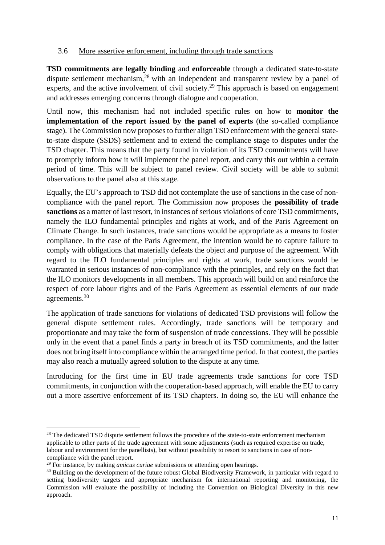## 3.6 More assertive enforcement, including through trade sanctions

**TSD commitments are legally binding** and **enforceable** through a dedicated state-to-state dispute settlement mechanism,<sup>28</sup> with an independent and transparent review by a panel of experts, and the active involvement of civil society.<sup>29</sup> This approach is based on engagement and addresses emerging concerns through dialogue and cooperation.

Until now, this mechanism had not included specific rules on how to **monitor the implementation of the report issued by the panel of experts** (the so-called compliance stage). The Commission now proposes to further align TSD enforcement with the general stateto-state dispute (SSDS) settlement and to extend the compliance stage to disputes under the TSD chapter. This means that the party found in violation of its TSD commitments will have to promptly inform how it will implement the panel report, and carry this out within a certain period of time. This will be subject to panel review. Civil society will be able to submit observations to the panel also at this stage.

Equally, the EU's approach to TSD did not contemplate the use of sanctions in the case of noncompliance with the panel report. The Commission now proposes the **possibility of trade sanctions** as a matter of last resort, in instances of serious violations of core TSD commitments, namely the ILO fundamental principles and rights at work, and of the Paris Agreement on Climate Change. In such instances, trade sanctions would be appropriate as a means to foster compliance. In the case of the Paris Agreement, the intention would be to capture failure to comply with obligations that materially defeats the object and purpose of the agreement. With regard to the ILO fundamental principles and rights at work, trade sanctions would be warranted in serious instances of non-compliance with the principles, and rely on the fact that the ILO monitors developments in all members. This approach will build on and reinforce the respect of core labour rights and of the Paris Agreement as essential elements of our trade agreements.<sup>30</sup>

The application of trade sanctions for violations of dedicated TSD provisions will follow the general dispute settlement rules. Accordingly, trade sanctions will be temporary and proportionate and may take the form of suspension of trade concessions. They will be possible only in the event that a panel finds a party in breach of its TSD commitments, and the latter does not bring itself into compliance within the arranged time period. In that context, the parties may also reach a mutually agreed solution to the dispute at any time.

Introducing for the first time in EU trade agreements trade sanctions for core TSD commitments, in conjunction with the cooperation-based approach, will enable the EU to carry out a more assertive enforcement of its TSD chapters. In doing so, the EU will enhance the

<sup>&</sup>lt;sup>28</sup> The dedicated TSD dispute settlement follows the procedure of the state-to-state enforcement mechanism applicable to other parts of the trade agreement with some adjustments (such as required expertise on trade, labour and environment for the panellists), but without possibility to resort to sanctions in case of noncompliance with the panel report.

<sup>29</sup> For instance, by making *amicus curiae* submissions or attending open hearings.

<sup>&</sup>lt;sup>30</sup> Building on the development of the future robust Global Biodiversity Framework, in particular with regard to setting biodiversity targets and appropriate mechanism for international reporting and monitoring, the Commission will evaluate the possibility of including the Convention on Biological Diversity in this new approach.